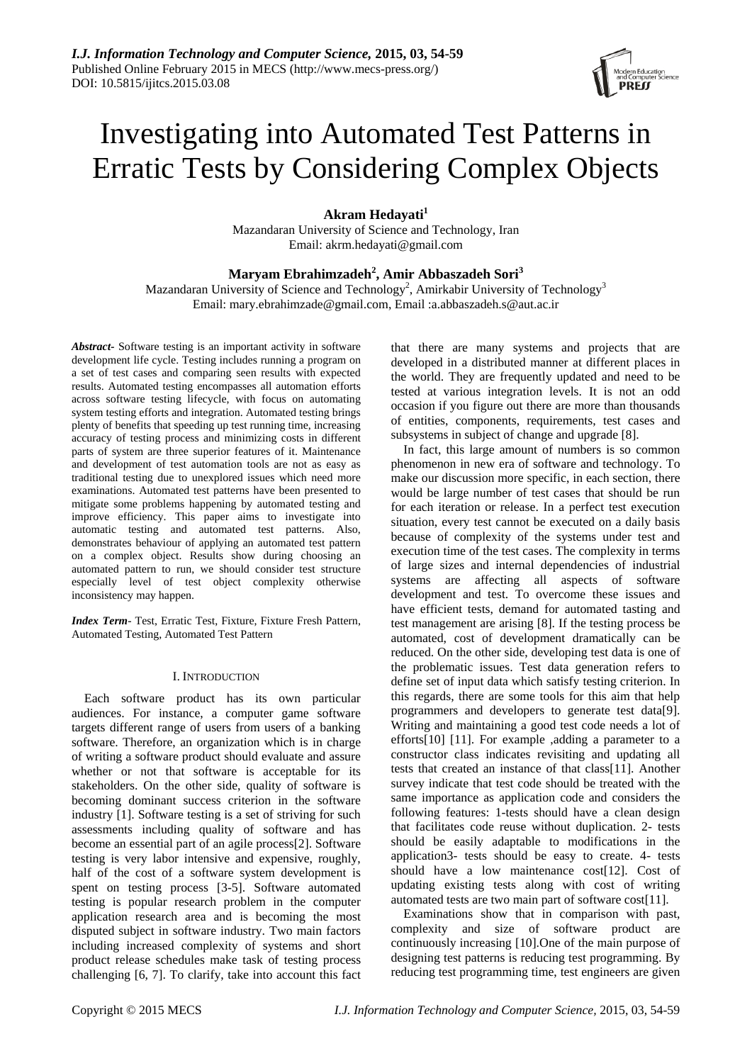# Investigating into Automated Test Patterns in Erratic Tests by Considering Complex Objects

**Akram Hedayati<sup>1</sup>**

Mazandaran University of Science and Technology, Iran Email: akrm.hedayati@gmail.com

# **Maryam Ebrahimzadeh<sup>2</sup> , Amir Abbaszadeh Sori<sup>3</sup>**

Mazandaran University of Science and Technology<sup>2</sup>, Amirkabir University of Technology<sup>3</sup> Email: mary.ebrahimzade@gmail.com, Email :a.abbaszadeh.s@aut.ac.ir

*Abstract-* Software testing is an important activity in software development life cycle. Testing includes running a program on a set of test cases and comparing seen results with expected results. Automated testing encompasses all automation efforts across software testing lifecycle, with focus on automating system testing efforts and integration. Automated testing brings plenty of benefits that speeding up test running time, increasing accuracy of testing process and minimizing costs in different parts of system are three superior features of it. Maintenance and development of test automation tools are not as easy as traditional testing due to unexplored issues which need more examinations. Automated test patterns have been presented to mitigate some problems happening by automated testing and improve efficiency. This paper aims to investigate into automatic testing and automated test patterns. Also, demonstrates behaviour of applying an automated test pattern on a complex object. Results show during choosing an automated pattern to run, we should consider test structure especially level of test object complexity otherwise inconsistency may happen.

*Index Term-* Test, Erratic Test, Fixture, Fixture Fresh Pattern, Automated Testing, Automated Test Pattern

#### I. INTRODUCTION

Each software product has its own particular audiences. For instance, a computer game software targets different range of users from users of a banking software. Therefore, an organization which is in charge of writing a software product should evaluate and assure whether or not that software is acceptable for its stakeholders. On the other side, quality of software is becoming dominant success criterion in the software industry [\[1\]](#page-5-0). Software testing is a set of striving for such assessments including quality of software and has become an essential part of an agile process[\[2\]](#page-5-1). Software testing is very labor intensive and expensive, roughly, half of the cost of a software system development is spent on testing process [\[3-5\]](#page-5-2). Software automated testing is popular research problem in the computer application research area and is becoming the most disputed subject in software industry. Two main factors including increased complexity of systems and short product release schedules make task of testing process challenging [\[6,](#page-5-3) [7\]](#page-5-4). To clarify, take into account this fact that there are many systems and projects that are developed in a distributed manner at different places in the world. They are frequently updated and need to be tested at various integration levels. It is not an odd occasion if you figure out there are more than thousands of entities, components, requirements, test cases and subsystems in subject of change and upgrade [\[8\]](#page-5-5).

In fact, this large amount of numbers is so common phenomenon in new era of software and technology. To make our discussion more specific, in each section, there would be large number of test cases that should be run for each iteration or release. In a perfect test execution situation, every test cannot be executed on a daily basis because of complexity of the systems under test and execution time of the test cases. The complexity in terms of large sizes and internal dependencies of industrial systems are affecting all aspects of software development and test. To overcome these issues and have efficient tests, demand for automated tasting and test management are arising [\[8\]](#page-5-5). If the testing process be automated, cost of development dramatically can be reduced. On the other side, developing test data is one of the problematic issues. Test data generation refers to define set of input data which satisfy testing criterion. In this regards, there are some tools for this aim that help programmers and developers to generate test data[\[9\]](#page-5-6). Writing and maintaining a good test code needs a lot of efforts[\[10\]](#page-5-7) [\[11\]](#page-5-8). For example ,adding a parameter to a constructor class indicates revisiting and updating all tests that created an instance of that class[\[11\]](#page-5-8). Another survey indicate that test code should be treated with the same importance as application code and considers the following features: 1-tests should have a clean design that facilitates code reuse without duplication. 2- tests should be easily adaptable to modifications in the application3- tests should be easy to create. 4- tests should have a low maintenance cost[\[12\]](#page-5-9). Cost of updating existing tests along with cost of writing automated tests are two main part of software cost[\[11\]](#page-5-8).

Examinations show that in comparison with past, complexity and size of software product are continuously increasing [\[10\]](#page-5-7).One of the main purpose of designing test patterns is reducing test programming. By reducing test programming time, test engineers are given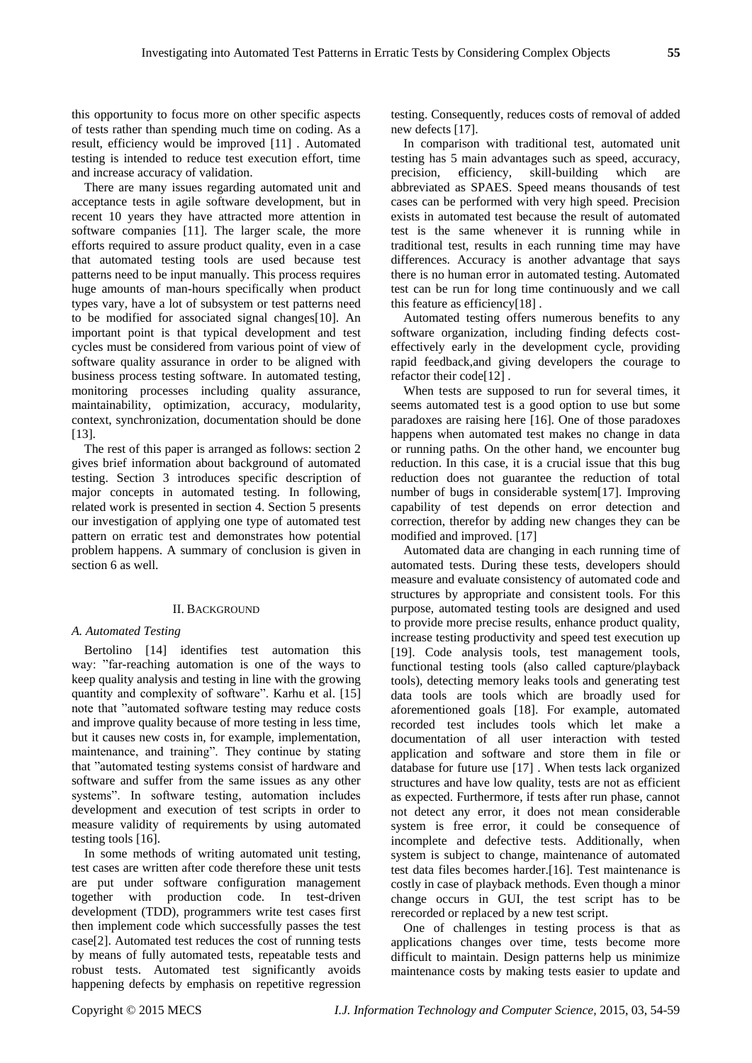this opportunity to focus more on other specific aspects of tests rather than spending much time on coding. As a result, efficiency would be improved [\[11\]](#page-5-8) . Automated testing is intended to reduce test execution effort, time and increase accuracy of validation.

There are many issues regarding automated unit and acceptance tests in agile software development, but in recent 10 years they have attracted more attention in software companies [\[11\]](#page-5-8). The larger scale, the more efforts required to assure product quality, even in a case that automated testing tools are used because test patterns need to be input manually. This process requires huge amounts of man-hours specifically when product types vary, have a lot of subsystem or test patterns need to be modified for associated signal changes[\[10\]](#page-5-7). An important point is that typical development and test cycles must be considered from various point of view of software quality assurance in order to be aligned with business process testing software. In automated testing, monitoring processes including quality assurance, maintainability, optimization, accuracy, modularity, context, synchronization, documentation should be done [\[13\]](#page-5-10).

The rest of this paper is arranged as follows: section 2 gives brief information about background of automated testing. Section 3 introduces specific description of major concepts in automated testing. In following, related work is presented in section 4. Section 5 presents our investigation of applying one type of automated test pattern on erratic test and demonstrates how potential problem happens. A summary of conclusion is given in section 6 as well.

#### II. BACKGROUND

#### *A. Automated Testing*

Bertolino [\[14\]](#page-5-11) identifies test automation this way: "far-reaching automation is one of the ways to keep quality analysis and testing in line with the growing quantity and complexity of software". Karhu et al. [\[15\]](#page-5-12) note that "automated software testing may reduce costs and improve quality because of more testing in less time, but it causes new costs in, for example, implementation, maintenance, and training". They continue by stating that "automated testing systems consist of hardware and software and suffer from the same issues as any other systems". In software testing, automation includes development and execution of test scripts in order to measure validity of requirements by using automated testing tools [\[16\]](#page-5-13).

In some methods of writing automated unit testing, test cases are written after code therefore these unit tests are put under software configuration management together with production code. In test-driven development (TDD), programmers write test cases first then implement code which successfully passes the test case[\[2\]](#page-5-1). Automated test reduces the cost of running tests by means of fully automated tests, repeatable tests and robust tests. Automated test significantly avoids happening defects by emphasis on repetitive regression

testing. Consequently, reduces costs of removal of added new defects [\[17\]](#page-5-14).

In comparison with traditional test, automated unit testing has 5 main advantages such as speed, accuracy, precision, efficiency, skill-building which are abbreviated as SPAES. Speed means thousands of test cases can be performed with very high speed. Precision exists in automated test because the result of automated test is the same whenever it is running while in traditional test, results in each running time may have differences. Accuracy is another advantage that says there is no human error in automated testing. Automated test can be run for long time continuously and we call this feature as efficiency[\[18\]](#page-5-15) .

Automated testing offers numerous benefits to any software organization, including finding defects costeffectively early in the development cycle, providing rapid feedback,and giving developers the courage to refactor their code[\[12\]](#page-5-9) .

When tests are supposed to run for several times, it seems automated test is a good option to use but some paradoxes are raising here [\[16\]](#page-5-13). One of those paradoxes happens when automated test makes no change in data or running paths. On the other hand, we encounter bug reduction. In this case, it is a crucial issue that this bug reduction does not guarantee the reduction of total number of bugs in considerable system[\[17\]](#page-5-14). Improving capability of test depends on error detection and correction, therefor by adding new changes they can be modified and improved. [\[17\]](#page-5-14)

Automated data are changing in each running time of automated tests. During these tests, developers should measure and evaluate consistency of automated code and structures by appropriate and consistent tools. For this purpose, automated testing tools are designed and used to provide more precise results, enhance product quality, increase testing productivity and speed test execution up [\[19\]](#page-5-16). Code analysis tools, test management tools, functional testing tools (also called capture/playback tools), detecting memory leaks tools and generating test data tools are tools which are broadly used for aforementioned goals [\[18\]](#page-5-15). For example, automated recorded test includes tools which let make a documentation of all user interaction with tested application and software and store them in file or database for future use [\[17\]](#page-5-14) . When tests lack organized structures and have low quality, tests are not as efficient as expected. Furthermore, if tests after run phase, cannot not detect any error, it does not mean considerable system is free error, it could be consequence of incomplete and defective tests. Additionally, when system is subject to change, maintenance of automated test data files becomes harder.[\[16\]](#page-5-13). Test maintenance is costly in case of playback methods. Even though a minor change occurs in GUI, the test script has to be rerecorded or replaced by a new test script.

One of challenges in testing process is that as applications changes over time, tests become more difficult to maintain. Design patterns help us minimize maintenance costs by making tests easier to update and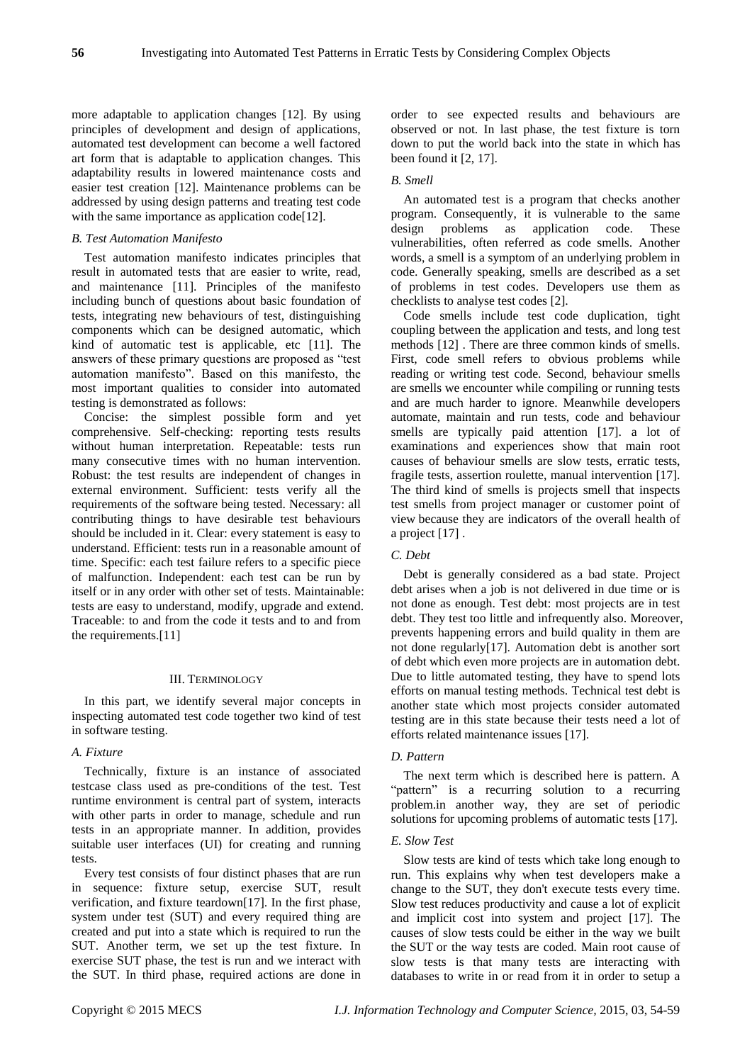more adaptable to application changes [\[12\]](#page-5-9). By using principles of development and design of applications, automated test development can become a well factored art form that is adaptable to application changes. This adaptability results in lowered maintenance costs and easier test creation [\[12\]](#page-5-9). Maintenance problems can be addressed by using design patterns and treating test code with the same importance as application code[\[12\]](#page-5-9).

#### *B. Test Automation Manifesto*

Test automation manifesto indicates principles that result in automated tests that are easier to write, read, and maintenance [\[11\]](#page-5-8). Principles of the manifesto including bunch of questions about basic foundation of tests, integrating new behaviours of test, distinguishing components which can be designed automatic, which kind of automatic test is applicable, etc [\[11\]](#page-5-8). The answers of these primary questions are proposed as "test automation manifesto". Based on this manifesto, the most important qualities to consider into automated testing is demonstrated as follows:

Concise: the simplest possible form and yet comprehensive. Self-checking: reporting tests results without human interpretation. Repeatable: tests run many consecutive times with no human intervention. Robust: the test results are independent of changes in external environment. Sufficient: tests verify all the requirements of the software being tested. Necessary: all contributing things to have desirable test behaviours should be included in it. Clear: every statement is easy to understand. Efficient: tests run in a reasonable amount of time. Specific: each test failure refers to a specific piece of malfunction. Independent: each test can be run by itself or in any order with other set of tests. Maintainable: tests are easy to understand, modify, upgrade and extend. Traceable: to and from the code it tests and to and from the requirements.[\[11\]](#page-5-8)

#### III. TERMINOLOGY

In this part, we identify several major concepts in inspecting automated test code together two kind of test in software testing.

# *A. Fixture*

Technically, fixture is an instance of associated testcase class used as pre-conditions of the test. Test runtime environment is central part of system, interacts with other parts in order to manage, schedule and run tests in an appropriate manner. In addition, provides suitable user interfaces (UI) for creating and running tests.

Every test consists of four distinct phases that are run in sequence: fixture setup, exercise SUT, result verification, and fixture teardown[\[17\]](#page-5-14). In the first phase, system under test (SUT) and every required thing are created and put into a state which is required to run the SUT. Another term, we set up the test fixture. In exercise SUT phase, the test is run and we interact with the SUT. In third phase, required actions are done in order to see expected results and behaviours are observed or not. In last phase, the test fixture is torn down to put the world back into the state in which has been found it [\[2,](#page-5-1) [17\]](#page-5-14).

## *B. Smell*

An automated test is a program that checks another program. Consequently, it is vulnerable to the same design problems as application code. These vulnerabilities, often referred as code smells. Another words, a smell is a symptom of an underlying problem in code. Generally speaking, smells are described as a set of problems in test codes. Developers use them as checklists to analyse test codes [\[2\]](#page-5-1).

Code smells include test code duplication, tight coupling between the application and tests, and long test methods [\[12\]](#page-5-9) . There are three common kinds of smells. First, code smell refers to obvious problems while reading or writing test code. Second, behaviour smells are smells we encounter while compiling or running tests and are much harder to ignore. Meanwhile developers automate, maintain and run tests, code and behaviour smells are typically paid attention [\[17\]](#page-5-14). a lot of examinations and experiences show that main root causes of behaviour smells are slow tests, erratic tests, fragile tests, assertion roulette, manual intervention [\[17\]](#page-5-14). The third kind of smells is projects smell that inspects test smells from project manager or customer point of view because they are indicators of the overall health of a project [\[17\]](#page-5-14) .

## *C. Debt*

Debt is generally considered as a bad state. Project debt arises when a job is not delivered in due time or is not done as enough. Test debt: most projects are in test debt. They test too little and infrequently also. Moreover, prevents happening errors and build quality in them are not done regularly[\[17\]](#page-5-14). Automation debt is another sort of debt which even more projects are in automation debt. Due to little automated testing, they have to spend lots efforts on manual testing methods. Technical test debt is another state which most projects consider automated testing are in this state because their tests need a lot of efforts related maintenance issues [\[17\]](#page-5-14).

#### *D. Pattern*

The next term which is described here is pattern. A "pattern" is a recurring solution to a recurring problem.in another way, they are set of periodic solutions for upcoming problems of automatic tests [\[17\]](#page-5-14).

## *E. Slow Test*

Slow tests are kind of tests which take long enough to run. This explains why when test developers make a change to the SUT, they don't execute tests every time. Slow test reduces productivity and cause a lot of explicit and implicit cost into system and project [\[17\]](#page-5-14). The causes of slow tests could be either in the way we built the SUT or the way tests are coded. Main root cause of slow tests is that many tests are interacting with databases to write in or read from it in order to setup a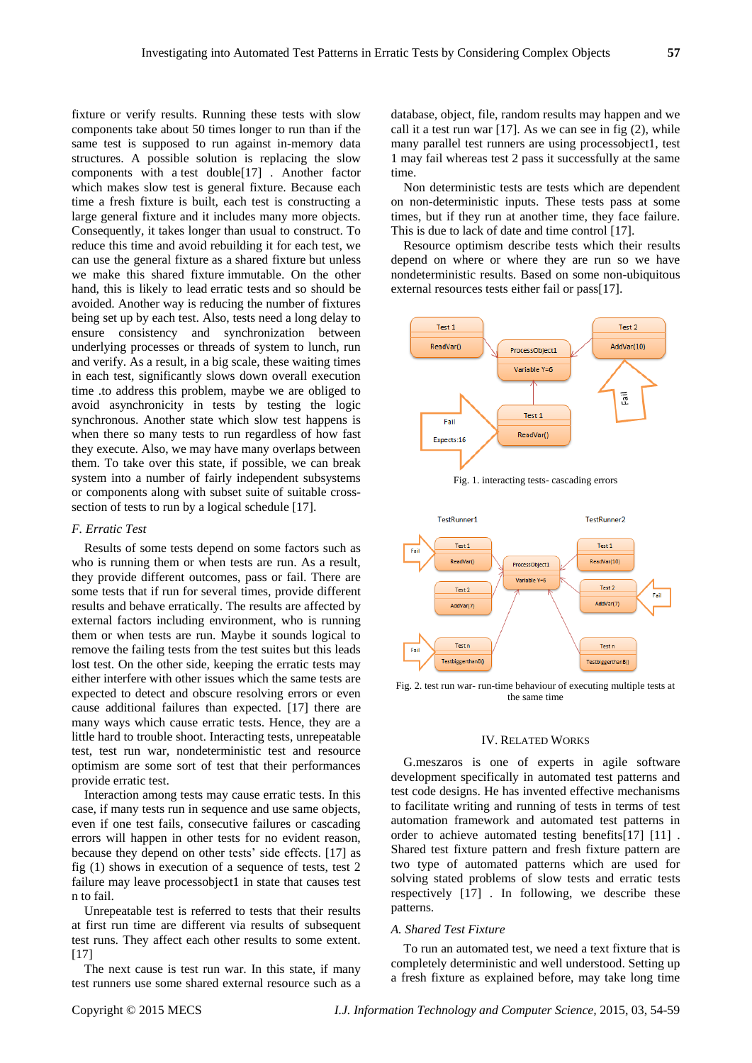fixture or verify results. Running these tests with slow components take about 50 times longer to run than if the same test is supposed to run against in-memory data structures. A possible solution is replacing the slow components with a test double[\[17\]](#page-5-14) . Another factor which makes slow test is general fixture. Because each time a fresh fixture is built, each test is constructing a large general fixture and it includes many more objects. Consequently, it takes longer than usual to construct. To reduce this time and avoid rebuilding it for each test, we can use the general fixture as a shared fixture but unless we make this shared fixture immutable. On the other hand, this is likely to lead erratic tests and so should be avoided. Another way is reducing the number of fixtures being set up by each test. Also, tests need a long delay to ensure consistency and synchronization between underlying processes or threads of system to lunch, run and verify. As a result, in a big scale, these waiting times in each test, significantly slows down overall execution time .to address this problem, maybe we are obliged to avoid asynchronicity in tests by testing the logic synchronous. Another state which slow test happens is when there so many tests to run regardless of how fast they execute. Also, we may have many overlaps between them. To take over this state, if possible, we can break system into a number of fairly independent subsystems or components along with subset suite of suitable crosssection of tests to run by a logical schedule [\[17\]](#page-5-14).

#### *F. Erratic Test*

Results of some tests depend on some factors such as who is running them or when tests are run. As a result, they provide different outcomes, pass or fail. There are some tests that if run for several times, provide different results and behave erratically. The results are affected by external factors including environment, who is running them or when tests are run. Maybe it sounds logical to remove the failing tests from the test suites but this leads lost test. On the other side, keeping the erratic tests may either interfere with other issues which the same tests are expected to detect and obscure resolving errors or even cause additional failures than expected. [\[17\]](#page-5-14) there are many ways which cause erratic tests. Hence, they are a little hard to trouble shoot. Interacting tests, unrepeatable test, test run war, nondeterministic test and resource optimism are some sort of test that their performances provide erratic test.

Interaction among tests may cause erratic tests. In this case, if many tests run in sequence and use same objects, even if one test fails, consecutive failures or cascading errors will happen in other tests for no evident reason, because they depend on other tests' side effects. [\[17\]](#page-5-14) as fig (1) shows in execution of a sequence of tests, test 2 failure may leave processobject1 in state that causes test n to fail.

Unrepeatable test is referred to tests that their results at first run time are different via results of subsequent test runs. They affect each other results to some extent. [\[17\]](#page-5-14)

The next cause is test run war. In this state, if many test runners use some shared external resource such as a

database, object, file, random results may happen and we call it a test run war  $[17]$ . As we can see in fig  $(2)$ , while many parallel test runners are using processobject1, test 1 may fail whereas test 2 pass it successfully at the same time.

Non deterministic tests are tests which are dependent on non-deterministic inputs. These tests pass at some times, but if they run at another time, they face failure. This is due to lack of date and time control [\[17\]](#page-5-14).

Resource optimism describe tests which their results depend on where or where they are run so we have nondeterministic results. Based on some non-ubiquitous external resources tests either fail or pass[\[17\]](#page-5-14).



Fig. 1. interacting tests- cascading errors



Fig. 2. test run war- run-time behaviour of executing multiple tests at the same time

#### IV. RELATED WORKS

G.meszaros is one of experts in agile software development specifically in automated test patterns and test code designs. He has invented effective mechanisms to facilitate writing and running of tests in terms of test automation framework and automated test patterns in order to achieve automated testing benefits[\[17\]](#page-5-14) [\[11\]](#page-5-8) . Shared test fixture pattern and fresh fixture pattern are two type of automated patterns which are used for solving stated problems of slow tests and erratic tests respectively [\[17\]](#page-5-14) . In following, we describe these patterns.

#### *A. Shared Test Fixture*

To run an automated test, we need a text fixture that is completely deterministic and well understood. Setting up a fresh fixture as explained before, may take long time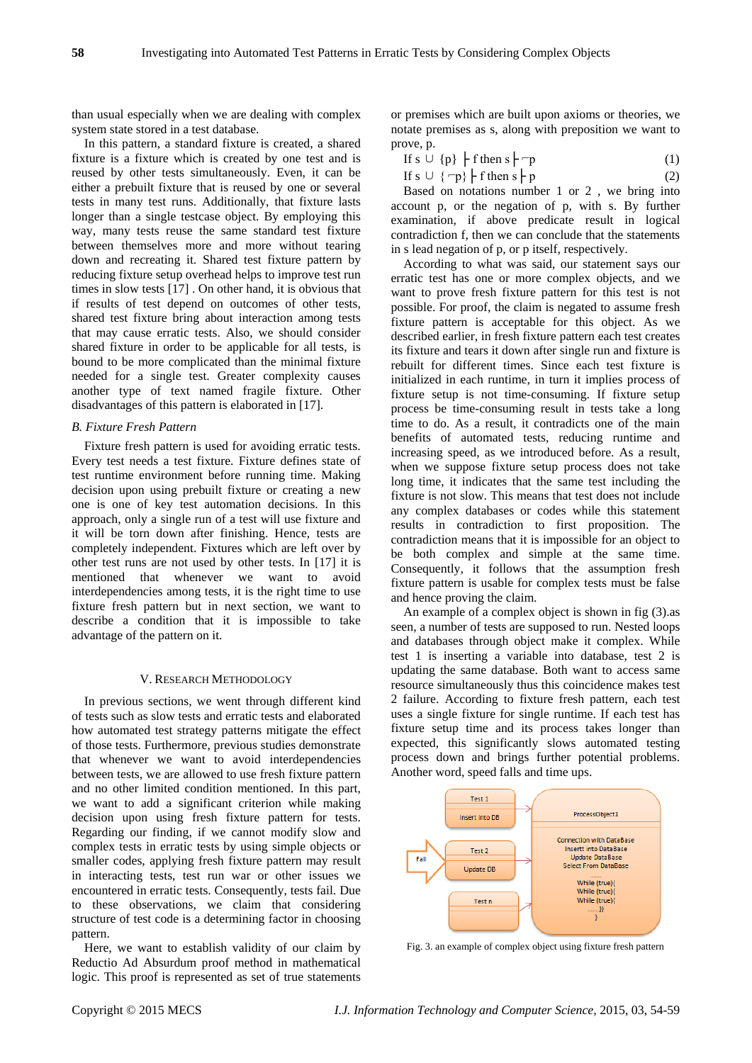than usual especially when we are dealing with complex system state stored in a test database.

In this pattern, a standard fixture is created, a shared fixture is a fixture which is created by one test and is reused by other tests simultaneously. Even, it can be either a prebuilt fixture that is reused by one or several tests in many test runs. Additionally, that fixture lasts longer than a single testcase object. By employing this way, many tests reuse the same standard test fixture between themselves more and more without tearing down and recreating it. Shared test fixture pattern by reducing fixture setup overhead helps to improve test run times in slow tests [\[17\]](#page-5-14) . On other hand, it is obvious that if results of test depend on outcomes of other tests, shared test fixture bring about interaction among tests that may cause erratic tests. Also, we should consider shared fixture in order to be applicable for all tests, is bound to be more complicated than the minimal fixture needed for a single test. Greater complexity causes another type of text named fragile fixture. Other disadvantages of this pattern is elaborated in [\[17\]](#page-5-14).

#### *B. Fixture Fresh Pattern*

Fixture fresh pattern is used for avoiding erratic tests. Every test needs a test fixture. Fixture defines state of test runtime environment before running time. Making decision upon using prebuilt fixture or creating a new one is one of key test automation decisions. In this approach, only a single run of a test will use fixture and it will be torn down after finishing. Hence, tests are completely independent. Fixtures which are left over by other test runs are not used by other tests. In [\[17\]](#page-5-14) it is mentioned that whenever we want to avoid interdependencies among tests, it is the right time to use fixture fresh pattern but in next section, we want to describe a condition that it is impossible to take advantage of the pattern on it.

#### V. RESEARCH METHODOLOGY

In previous sections, we went through different kind of tests such as slow tests and erratic tests and elaborated how automated test strategy patterns mitigate the effect of those tests. Furthermore, previous studies demonstrate that whenever we want to avoid interdependencies between tests, we are allowed to use fresh fixture pattern and no other limited condition mentioned. In this part, we want to add a significant criterion while making decision upon using fresh fixture pattern for tests. Regarding our finding, if we cannot modify slow and complex tests in erratic tests by using simple objects or smaller codes, applying fresh fixture pattern may result in interacting tests, test run war or other issues we encountered in erratic tests. Consequently, tests fail. Due to these observations, we claim that considering structure of test code is a determining factor in choosing pattern.

Here, we want to establish validity of our claim by Reductio Ad Absurdum proof method in mathematical logic. This proof is represented as set of true statements

or premises which are built upon axioms or theories, we notate premises as s, along with preposition we want to prove, p.

| If $s \cup \{p\}$   f then $s$   -p |  |
|-------------------------------------|--|
|-------------------------------------|--|

| If $s \cup \{-p\}$   f then $s$   p | (2) |  |
|-------------------------------------|-----|--|
|-------------------------------------|-----|--|

Based on notations number 1 or 2 , we bring into account p, or the negation of p, with s. By further examination, if above predicate result in logical contradiction f, then we can conclude that the statements in s lead negation of p, or p itself, respectively.

According to what was said, our statement says our erratic test has one or more complex objects, and we want to prove fresh fixture pattern for this test is not possible. For proof, the claim is negated to assume fresh fixture pattern is acceptable for this object. As we described earlier, in fresh fixture pattern each test creates its fixture and tears it down after single run and fixture is rebuilt for different times. Since each test fixture is initialized in each runtime, in turn it implies process of fixture setup is not time-consuming. If fixture setup process be time-consuming result in tests take a long time to do. As a result, it contradicts one of the main benefits of automated tests, reducing runtime and increasing speed, as we introduced before. As a result, when we suppose fixture setup process does not take long time, it indicates that the same test including the fixture is not slow. This means that test does not include any complex databases or codes while this statement results in contradiction to first proposition. The contradiction means that it is impossible for an object to be both complex and simple at the same time. Consequently, it follows that the assumption fresh fixture pattern is usable for complex tests must be false and hence proving the claim.

An example of a complex object is shown in fig (3).as seen, a number of tests are supposed to run. Nested loops and databases through object make it complex. While test 1 is inserting a variable into database, test 2 is updating the same database. Both want to access same resource simultaneously thus this coincidence makes test 2 failure. According to fixture fresh pattern, each test uses a single fixture for single runtime. If each test has fixture setup time and its process takes longer than expected, this significantly slows automated testing process down and brings further potential problems. Another word, speed falls and time ups.



Fig. 3. an example of complex object using fixture fresh pattern